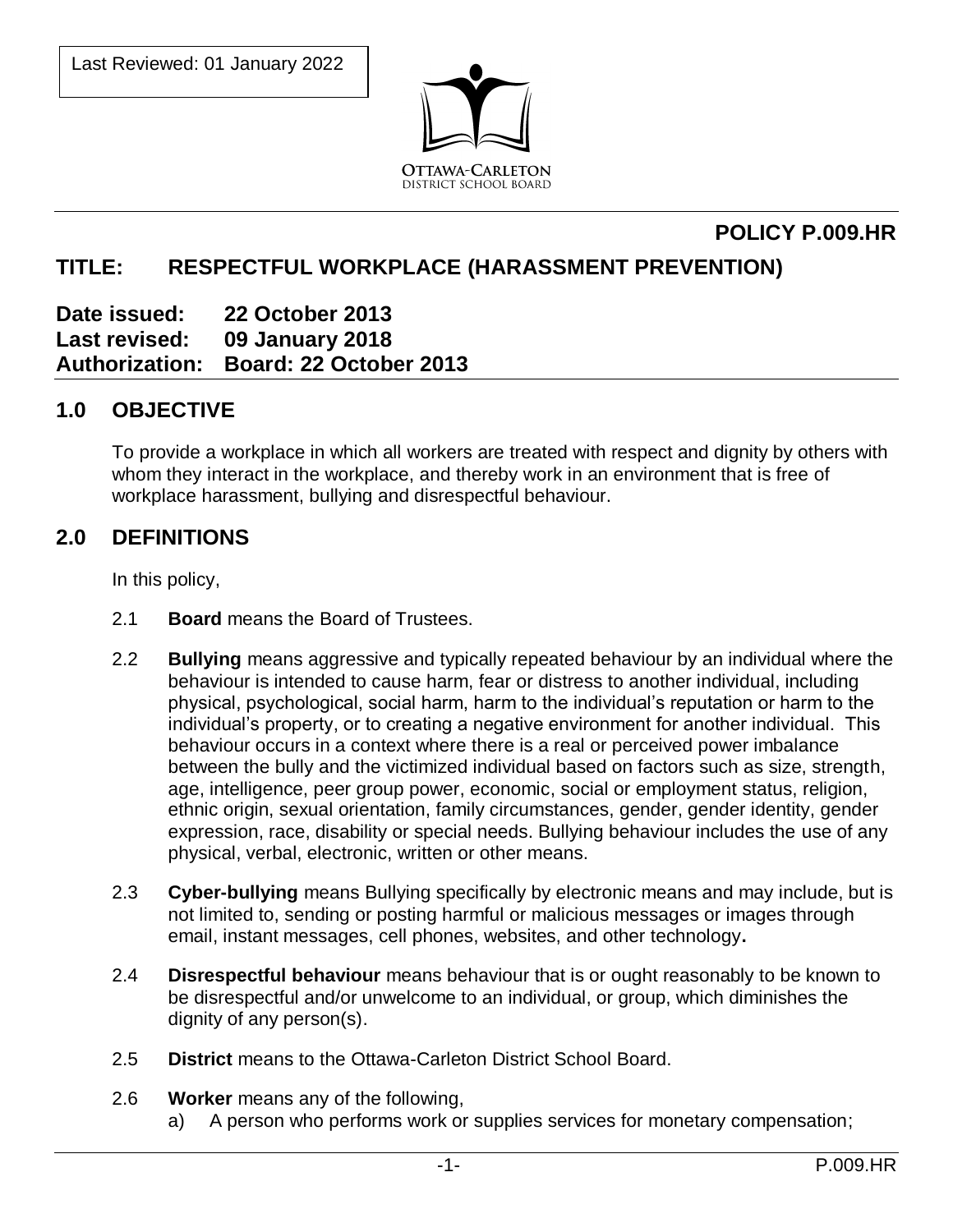

# **POLICY P.009.HR**

# **TITLE: RESPECTFUL WORKPLACE (HARASSMENT PREVENTION)**

**Date issued: 22 October 2013 Last revised: 09 January 2018 Authorization: Board: 22 October 2013** 

## **1.0 OBJECTIVE**

To provide a workplace in which all workers are treated with respect and dignity by others with whom they interact in the workplace, and thereby work in an environment that is free of workplace harassment, bullying and disrespectful behaviour.

## **2.0 DEFINITIONS**

In this policy,

- 2.1 **Board** means the Board of Trustees.
- 2.2 **Bullying** means aggressive and typically repeated behaviour by an individual where the behaviour is intended to cause harm, fear or distress to another individual, including physical, psychological, social harm, harm to the individual's reputation or harm to the individual's property, or to creating a negative environment for another individual. This behaviour occurs in a context where there is a real or perceived power imbalance between the bully and the victimized individual based on factors such as size, strength, age, intelligence, peer group power, economic, social or employment status, religion, ethnic origin, sexual orientation, family circumstances, gender, gender identity, gender expression, race, disability or special needs. Bullying behaviour includes the use of any physical, verbal, electronic, written or other means.
- 2.3 **Cyber-bullying** means Bullying specifically by electronic means and may include, but is not limited to, sending or posting harmful or malicious messages or images through email, instant messages, cell phones, websites, and other technology**.**
- 2.4 **Disrespectful behaviour** means behaviour that is or ought reasonably to be known to be disrespectful and/or unwelcome to an individual, or group, which diminishes the dignity of any person(s).
- 2.5 **District** means to the Ottawa-Carleton District School Board.
- 2.6 **Worker** means any of the following,
	- a) A person who performs work or supplies services for monetary compensation;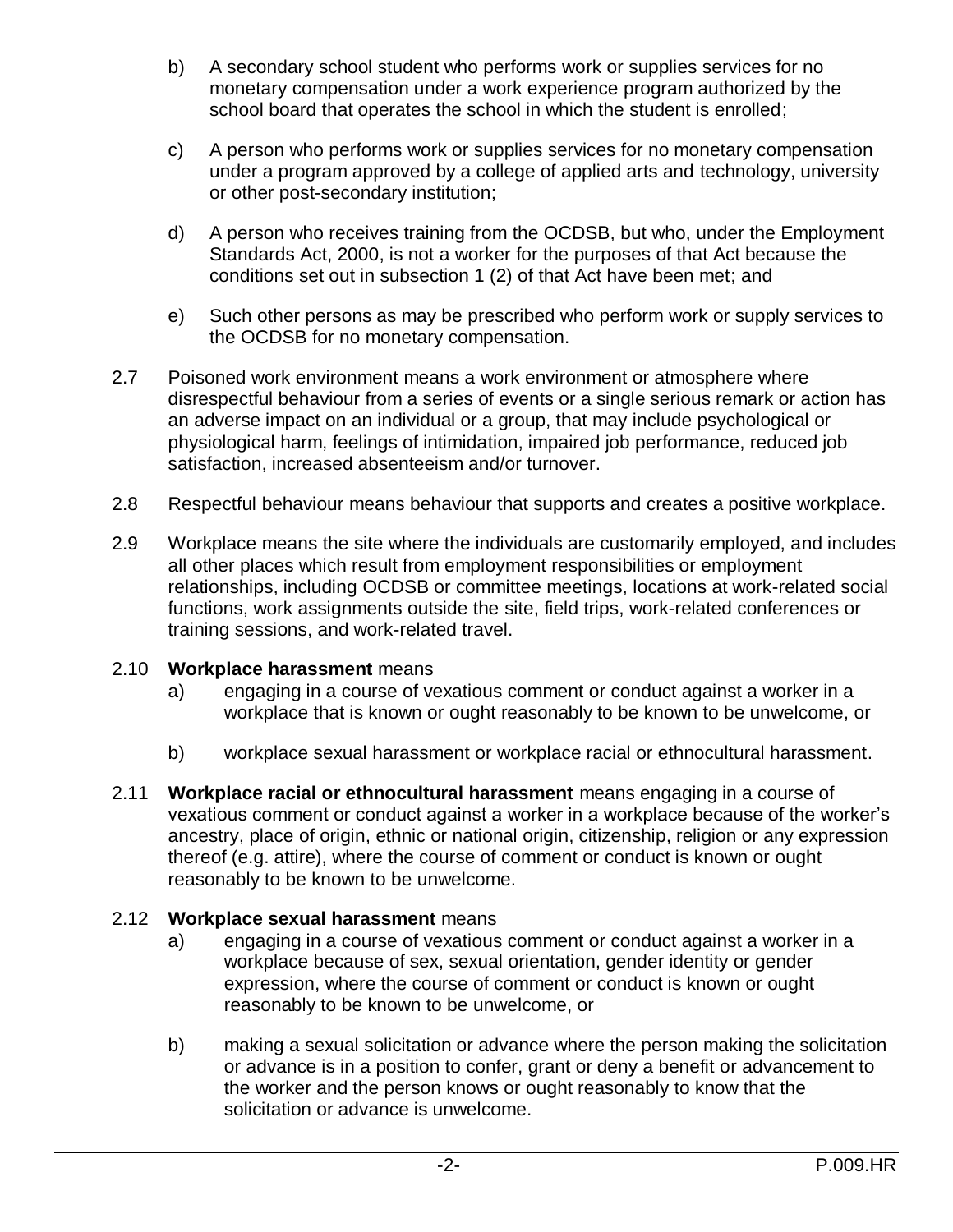- b) A secondary school student who performs work or supplies services for no monetary compensation under a work experience program authorized by the school board that operates the school in which the student is enrolled;
- c) A person who performs work or supplies services for no monetary compensation under a program approved by a college of applied arts and technology, university or other post-secondary institution;
- d) A person who receives training from the OCDSB, but who, under the Employment Standards Act, 2000, is not a worker for the purposes of that Act because the conditions set out in subsection 1 (2) of that Act have been met; and
- e) Such other persons as may be prescribed who perform work or supply services to the OCDSB for no monetary compensation.
- 2.7 Poisoned work environment means a work environment or atmosphere where disrespectful behaviour from a series of events or a single serious remark or action has an adverse impact on an individual or a group, that may include psychological or physiological harm, feelings of intimidation, impaired job performance, reduced job satisfaction, increased absenteeism and/or turnover.
- 2.8 Respectful behaviour means behaviour that supports and creates a positive workplace.
- 2.9 Workplace means the site where the individuals are customarily employed, and includes all other places which result from employment responsibilities or employment relationships, including OCDSB or committee meetings, locations at work-related social functions, work assignments outside the site, field trips, work-related conferences or training sessions, and work-related travel.

#### 2.10 **Workplace harassment** means

- a) engaging in a course of vexatious comment or conduct against a worker in a workplace that is known or ought reasonably to be known to be unwelcome, or
- b) workplace sexual harassment or workplace racial or ethnocultural harassment.
- 2.11 **Workplace racial or ethnocultural harassment** means engaging in a course of vexatious comment or conduct against a worker in a workplace because of the worker's ancestry, place of origin, ethnic or national origin, citizenship, religion or any expression thereof (e.g. attire), where the course of comment or conduct is known or ought reasonably to be known to be unwelcome.

### 2.12 **Workplace sexual harassment** means

- a) engaging in a course of vexatious comment or conduct against a worker in a workplace because of sex, sexual orientation, gender identity or gender expression, where the course of comment or conduct is known or ought reasonably to be known to be unwelcome, or
- b) making a sexual solicitation or advance where the person making the solicitation or advance is in a position to confer, grant or deny a benefit or advancement to the worker and the person knows or ought reasonably to know that the solicitation or advance is unwelcome.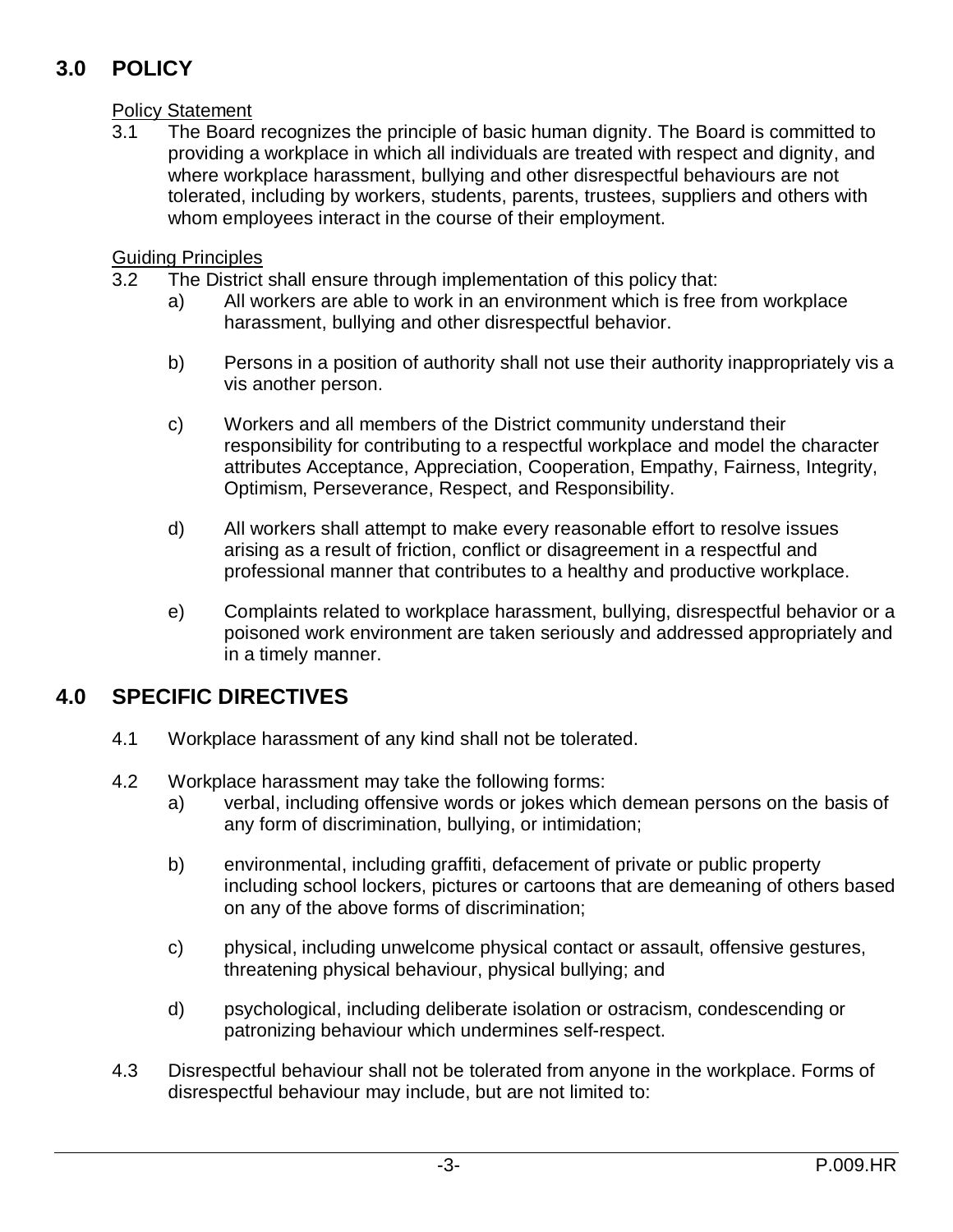# **3.0 POLICY**

### **Policy Statement**

3.1 The Board recognizes the principle of basic human dignity. The Board is committed to providing a workplace in which all individuals are treated with respect and dignity, and where workplace harassment, bullying and other disrespectful behaviours are not tolerated, including by workers, students, parents, trustees, suppliers and others with whom employees interact in the course of their employment.

### Guiding Principles

- 3.2 The District shall ensure through implementation of this policy that:
	- a) All workers are able to work in an environment which is free from workplace harassment, bullying and other disrespectful behavior.
	- b) Persons in a position of authority shall not use their authority inappropriately vis a vis another person.
	- c) Workers and all members of the District community understand their responsibility for contributing to a respectful workplace and model the character attributes Acceptance, Appreciation, Cooperation, Empathy, Fairness, Integrity, Optimism, Perseverance, Respect, and Responsibility.
	- d) All workers shall attempt to make every reasonable effort to resolve issues arising as a result of friction, conflict or disagreement in a respectful and professional manner that contributes to a healthy and productive workplace.
	- e) Complaints related to workplace harassment, bullying, disrespectful behavior or a poisoned work environment are taken seriously and addressed appropriately and in a timely manner.

# **4.0 SPECIFIC DIRECTIVES**

- 4.1 Workplace harassment of any kind shall not be tolerated.
- 4.2 Workplace harassment may take the following forms:
	- a) verbal, including offensive words or jokes which demean persons on the basis of any form of discrimination, bullying, or intimidation;
	- b) environmental, including graffiti, defacement of private or public property including school lockers, pictures or cartoons that are demeaning of others based on any of the above forms of discrimination;
	- c) physical, including unwelcome physical contact or assault, offensive gestures, threatening physical behaviour, physical bullying; and
	- d) psychological, including deliberate isolation or ostracism, condescending or patronizing behaviour which undermines self-respect.
- 4.3 Disrespectful behaviour shall not be tolerated from anyone in the workplace. Forms of disrespectful behaviour may include, but are not limited to: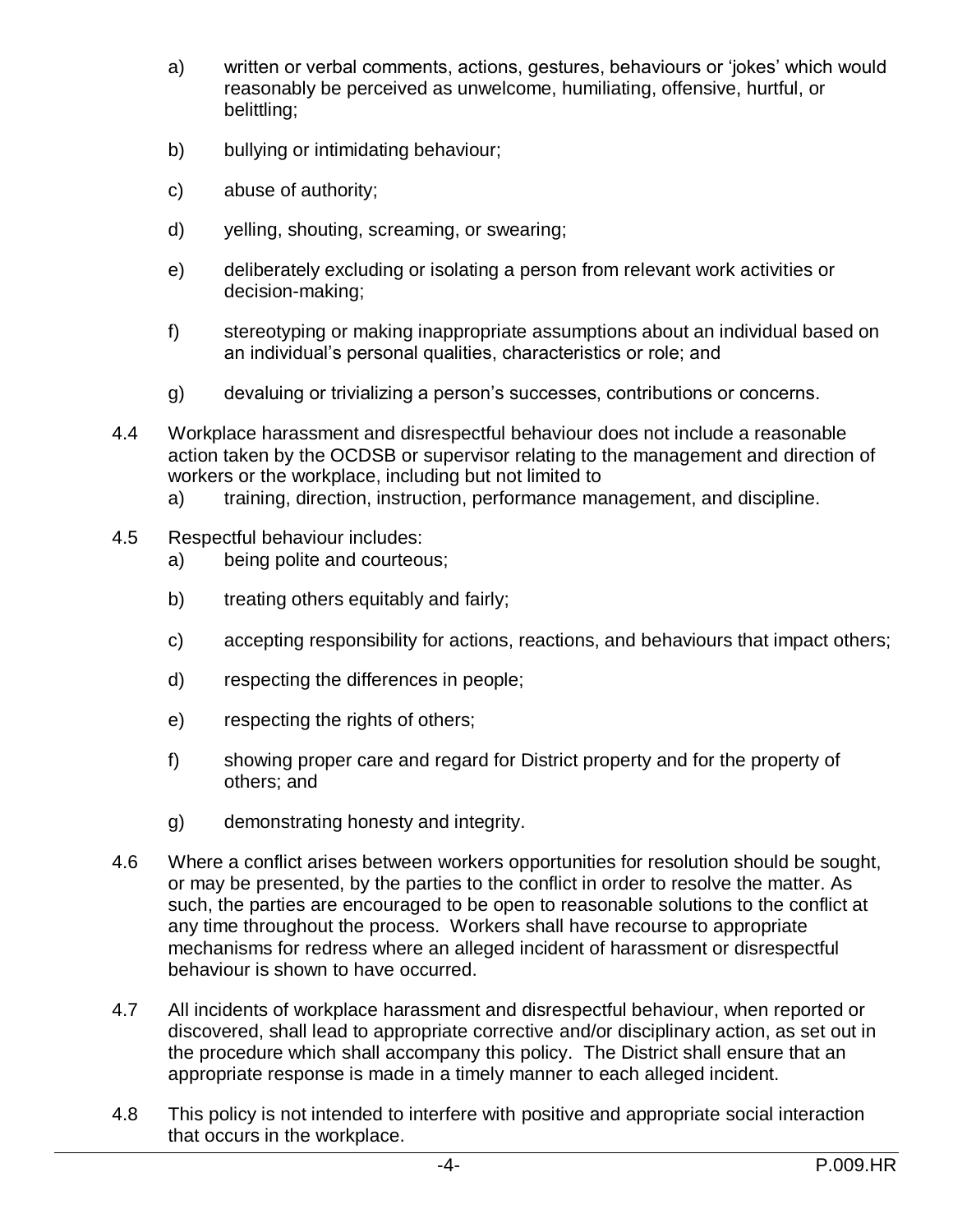- a) written or verbal comments, actions, gestures, behaviours or 'jokes' which would reasonably be perceived as unwelcome, humiliating, offensive, hurtful, or belittling;
- b) bullying or intimidating behaviour;
- c) abuse of authority;
- d) yelling, shouting, screaming, or swearing;
- e) deliberately excluding or isolating a person from relevant work activities or decision-making;
- f) stereotyping or making inappropriate assumptions about an individual based on an individual's personal qualities, characteristics or role; and
- g) devaluing or trivializing a person's successes, contributions or concerns.
- 4.4 Workplace harassment and disrespectful behaviour does not include a reasonable action taken by the OCDSB or supervisor relating to the management and direction of workers or the workplace, including but not limited to
	- a) training, direction, instruction, performance management, and discipline.
- 4.5 Respectful behaviour includes:
	- a) being polite and courteous;
	- b) treating others equitably and fairly;
	- c) accepting responsibility for actions, reactions, and behaviours that impact others;
	- d) respecting the differences in people;
	- e) respecting the rights of others;
	- f) showing proper care and regard for District property and for the property of others; and
	- g) demonstrating honesty and integrity.
- 4.6 Where a conflict arises between workers opportunities for resolution should be sought, or may be presented, by the parties to the conflict in order to resolve the matter. As such, the parties are encouraged to be open to reasonable solutions to the conflict at any time throughout the process. Workers shall have recourse to appropriate mechanisms for redress where an alleged incident of harassment or disrespectful behaviour is shown to have occurred.
- 4.7 All incidents of workplace harassment and disrespectful behaviour, when reported or discovered, shall lead to appropriate corrective and/or disciplinary action, as set out in the procedure which shall accompany this policy. The District shall ensure that an appropriate response is made in a timely manner to each alleged incident.
- 4.8 This policy is not intended to interfere with positive and appropriate social interaction that occurs in the workplace.